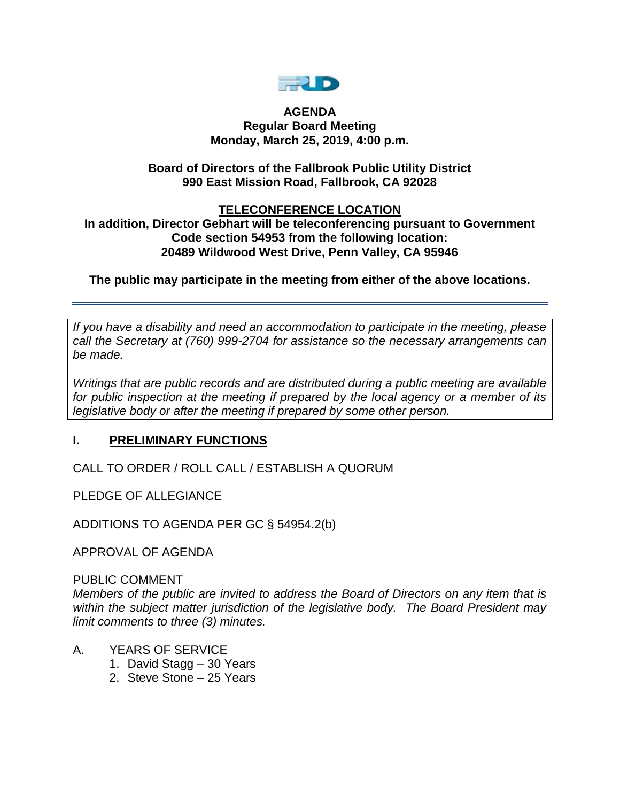

#### **AGENDA Regular Board Meeting Monday, March 25, 2019, 4:00 p.m.**

## **Board of Directors of the Fallbrook Public Utility District 990 East Mission Road, Fallbrook, CA 92028**

#### **TELECONFERENCE LOCATION In addition, Director Gebhart will be teleconferencing pursuant to Government**

# **Code section 54953 from the following location: 20489 Wildwood West Drive, Penn Valley, CA 95946**

# **The public may participate in the meeting from either of the above locations.**

*If you have a disability and need an accommodation to participate in the meeting, please call the Secretary at (760) 999-2704 for assistance so the necessary arrangements can be made.* 

*Writings that are public records and are distributed during a public meeting are available for public inspection at the meeting if prepared by the local agency or a member of its legislative body or after the meeting if prepared by some other person.* 

# **I. PRELIMINARY FUNCTIONS**

CALL TO ORDER / ROLL CALL / ESTABLISH A QUORUM

PLEDGE OF ALLEGIANCE

ADDITIONS TO AGENDA PER GC § 54954.2(b)

APPROVAL OF AGENDA

### PUBLIC COMMENT

*Members of the public are invited to address the Board of Directors on any item that is within the subject matter jurisdiction of the legislative body. The Board President may limit comments to three (3) minutes.*

- A. YEARS OF SERVICE
	- 1. David Stagg 30 Years
	- 2. Steve Stone 25 Years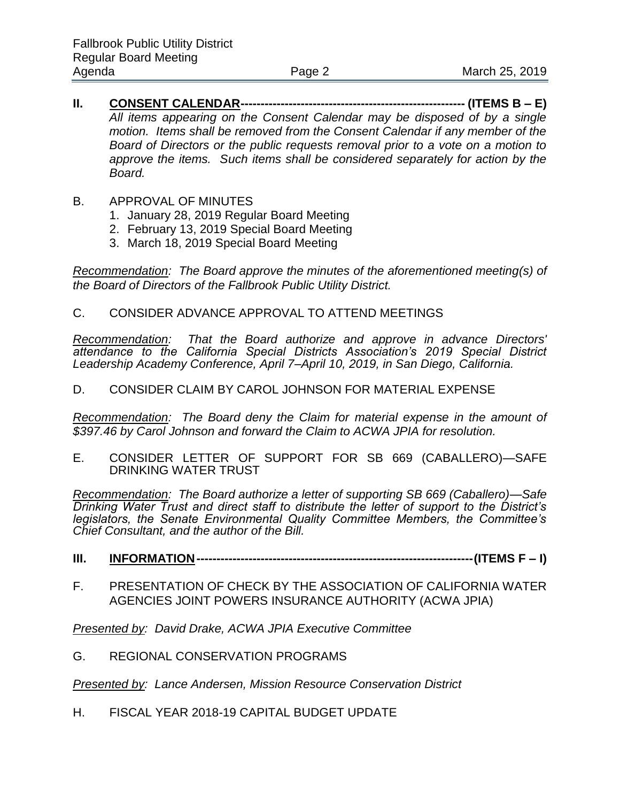- **II. CONSENT CALENDAR-------------------------------------------------------- (ITEMS B – E)** *All items appearing on the Consent Calendar may be disposed of by a single motion. Items shall be removed from the Consent Calendar if any member of the Board of Directors or the public requests removal prior to a vote on a motion to approve the items. Such items shall be considered separately for action by the Board.*
- B. APPROVAL OF MINUTES
	- 1. January 28, 2019 Regular Board Meeting
	- 2. February 13, 2019 Special Board Meeting
	- 3. March 18, 2019 Special Board Meeting

*Recommendation: The Board approve the minutes of the aforementioned meeting(s) of the Board of Directors of the Fallbrook Public Utility District.* 

C. CONSIDER ADVANCE APPROVAL TO ATTEND MEETINGS

*Recommendation: That the Board authorize and approve in advance Directors' attendance to the California Special Districts Association's 2019 Special District Leadership Academy Conference, April 7–April 10, 2019, in San Diego, California.*

D. CONSIDER CLAIM BY CAROL JOHNSON FOR MATERIAL EXPENSE

*Recommendation: The Board deny the Claim for material expense in the amount of \$397.46 by Carol Johnson and forward the Claim to ACWA JPIA for resolution.* 

E. CONSIDER LETTER OF SUPPORT FOR SB 669 (CABALLERO)—SAFE DRINKING WATER TRUST

*Recommendation: The Board authorize a letter of supporting SB 669 (Caballero)—Safe Drinking Water Trust and direct staff to distribute the letter of support to the District's legislators, the Senate Environmental Quality Committee Members, the Committee's Chief Consultant, and the author of the Bill.* 

- **III. INFORMATION---------------------------------------------------------------------(ITEMS F – I)**
- F. PRESENTATION OF CHECK BY THE ASSOCIATION OF CALIFORNIA WATER AGENCIES JOINT POWERS INSURANCE AUTHORITY (ACWA JPIA)

*Presented by: David Drake, ACWA JPIA Executive Committee*

G. REGIONAL CONSERVATION PROGRAMS

*Presented by: Lance Andersen, Mission Resource Conservation District*

H. FISCAL YEAR 2018-19 CAPITAL BUDGET UPDATE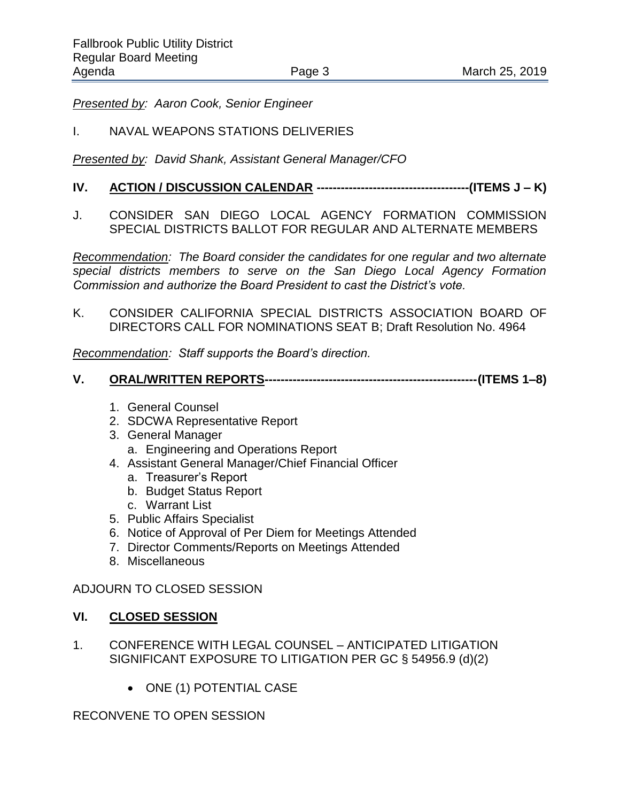*Presented by: Aaron Cook, Senior Engineer*

### I. NAVAL WEAPONS STATIONS DELIVERIES

*Presented by: David Shank, Assistant General Manager/CFO*

# **IV. ACTION / DISCUSSION CALENDAR --------------------------------------(ITEMS J – K)**

J. CONSIDER SAN DIEGO LOCAL AGENCY FORMATION COMMISSION SPECIAL DISTRICTS BALLOT FOR REGULAR AND ALTERNATE MEMBERS

*Recommendation: The Board consider the candidates for one regular and two alternate special districts members to serve on the San Diego Local Agency Formation Commission and authorize the Board President to cast the District's vote.* 

K. CONSIDER CALIFORNIA SPECIAL DISTRICTS ASSOCIATION BOARD OF DIRECTORS CALL FOR NOMINATIONS SEAT B; Draft Resolution No. 4964

*Recommendation: Staff supports the Board's direction.* 

# **V. ORAL/WRITTEN REPORTS-----------------------------------------------------(ITEMS 1–8)**

- 1. General Counsel
- 2. SDCWA Representative Report
- 3. General Manager a. Engineering and Operations Report
- 4. Assistant General Manager/Chief Financial Officer
	- a. Treasurer's Report
	- b. Budget Status Report
	- c. Warrant List
- 5. Public Affairs Specialist
- 6. Notice of Approval of Per Diem for Meetings Attended
- 7. Director Comments/Reports on Meetings Attended
- 8. Miscellaneous

### ADJOURN TO CLOSED SESSION

#### **VI. CLOSED SESSION**

- 1. CONFERENCE WITH LEGAL COUNSEL ANTICIPATED LITIGATION SIGNIFICANT EXPOSURE TO LITIGATION PER GC § 54956.9 (d)(2)
	- ONE (1) POTENTIAL CASE

### RECONVENE TO OPEN SESSION